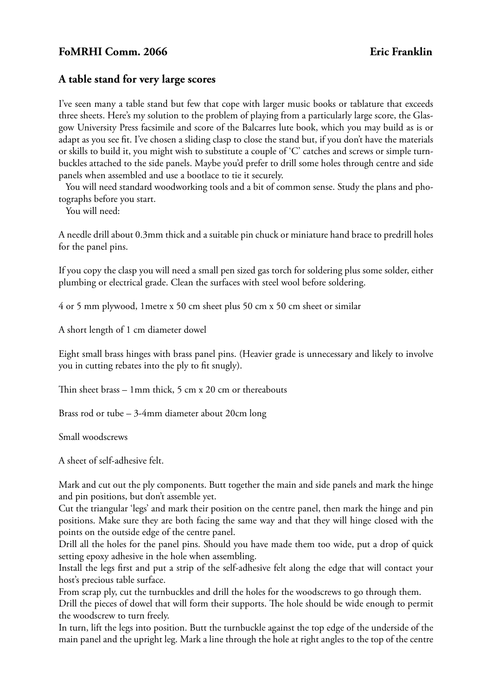## **FoMRHI Comm. 2066** Eric Franklin

## **A table stand for very large scores**

I've seen many a table stand but few that cope with larger music books or tablature that exceeds three sheets. Here's my solution to the problem of playing from a particularly large score, the Glasgow University Press facsimile and score of the Balcarres lute book, which you may build as is or adapt as you see fit. I've chosen a sliding clasp to close the stand but, if you don't have the materials or skills to build it, you might wish to substitute a couple of 'C' catches and screws or simple turnbuckles attached to the side panels. Maybe you'd prefer to drill some holes through centre and side panels when assembled and use a bootlace to tie it securely.

 You will need standard woodworking tools and a bit of common sense. Study the plans and photographs before you start.

You will need:

A needle drill about 0.3mm thick and a suitable pin chuck or miniature hand brace to predrill holes for the panel pins.

If you copy the clasp you will need a small pen sized gas torch for soldering plus some solder, either plumbing or electrical grade. Clean the surfaces with steel wool before soldering.

4 or 5 mm plywood, 1metre x 50 cm sheet plus 50 cm x 50 cm sheet or similar

A short length of 1 cm diameter dowel

Eight small brass hinges with brass panel pins. (Heavier grade is unnecessary and likely to involve you in cutting rebates into the ply to fit snugly).

Thin sheet brass – 1mm thick, 5 cm x 20 cm or thereabouts

Brass rod or tube – 3-4mm diameter about 20cm long

Small woodscrews

A sheet of self-adhesive felt.

Mark and cut out the ply components. Butt together the main and side panels and mark the hinge and pin positions, but don't assemble yet.

Cut the triangular 'legs' and mark their position on the centre panel, then mark the hinge and pin positions. Make sure they are both facing the same way and that they will hinge closed with the points on the outside edge of the centre panel.

Drill all the holes for the panel pins. Should you have made them too wide, put a drop of quick setting epoxy adhesive in the hole when assembling.

Install the legs first and put a strip of the self-adhesive felt along the edge that will contact your host's precious table surface.

From scrap ply, cut the turnbuckles and drill the holes for the woodscrews to go through them.

Drill the pieces of dowel that will form their supports. The hole should be wide enough to permit the woodscrew to turn freely.

In turn, lift the legs into position. Butt the turnbuckle against the top edge of the underside of the main panel and the upright leg. Mark a line through the hole at right angles to the top of the centre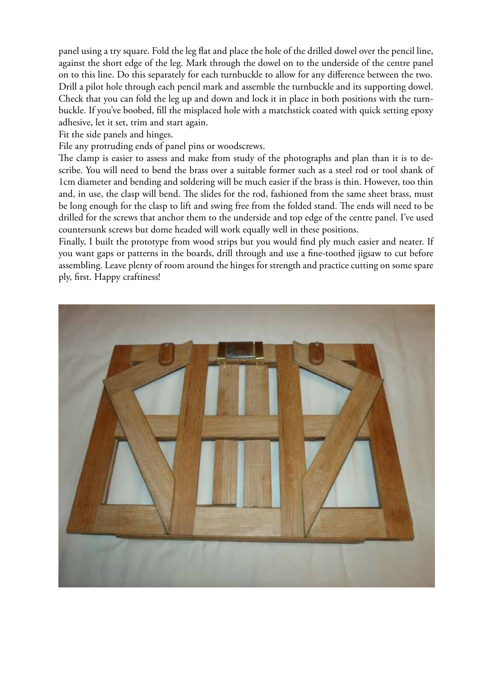panel using a try square. Fold the leg flat and place the hole of the drilled dowel over the pencil line, against the short edge of the leg. Mark through the dowel on to the underside of the centre panel on to this line. Do this separately for each turnbuckle to allow for any difference between the two. Drill a pilot hole through each pencil mark and assemble the turnbuckle and its supporting dowel. Check that you can fold the leg up and down and lock it in place in both positions with the turnbuckle. If you've boobed, fill the misplaced hole with a matchstick coated with quick setting epoxy adhesive, let it set, trim and start again.

Fit the side panels and hinges.

File any protruding ends of panel pins or woodscrews.

The clamp is easier to assess and make from study of the photographs and plan than it is to describe. You will need to bend the brass over a suitable former such as a steel rod or tool shank of 1cm diameter and bending and soldering will be much easier if the brass is thin. However, too thin and, in use, the clasp will bend. The slides for the rod, fashioned from the same sheet brass, must be long enough for the clasp to lift and swing free from the folded stand. The ends will need to be drilled for the screws that anchor them to the underside and top edge of the centre panel. I've used countersunk screws but dome headed will work equally well in these positions.

Finally, I built the prototype from wood strips but you would find ply much easier and neater. If you want gaps or patterns in the boards, drill through and use a fine-toothed jigsaw to cut before assembling. Leave plenty of room around the hinges for strength and practice cutting on some spare ply, first. Happy craftiness!

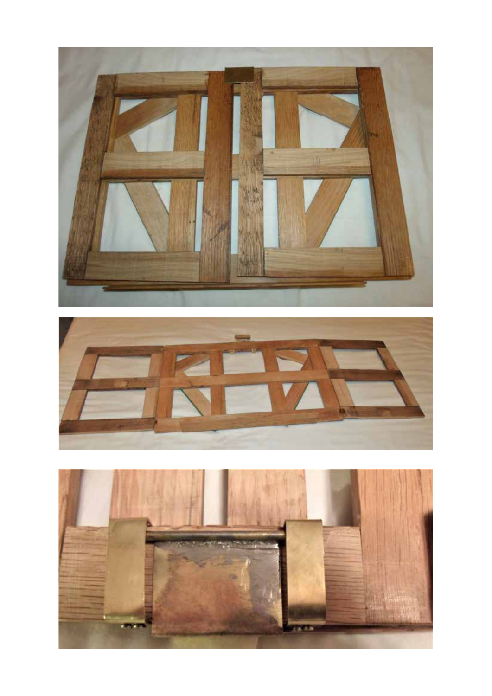



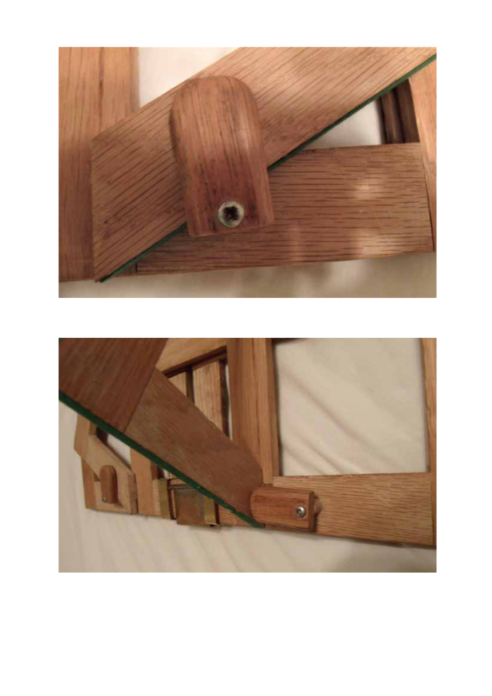

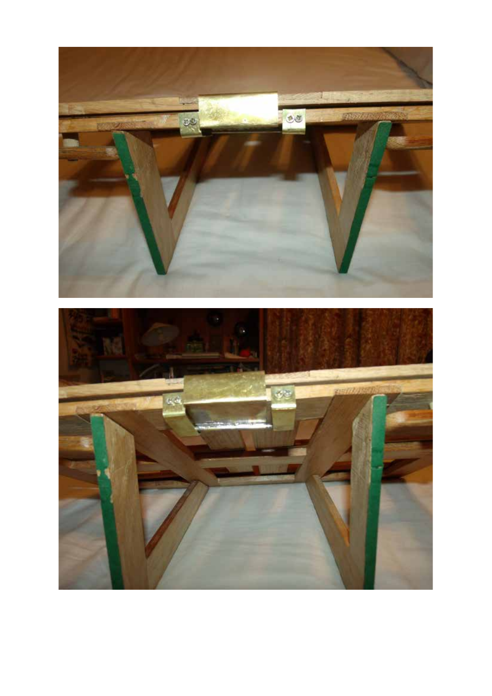

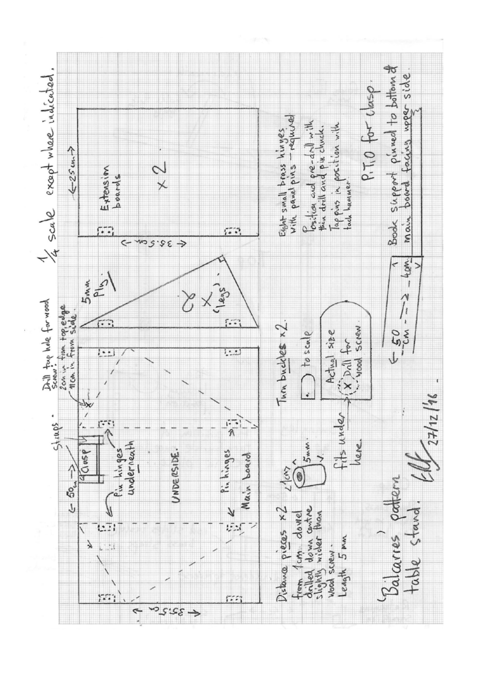